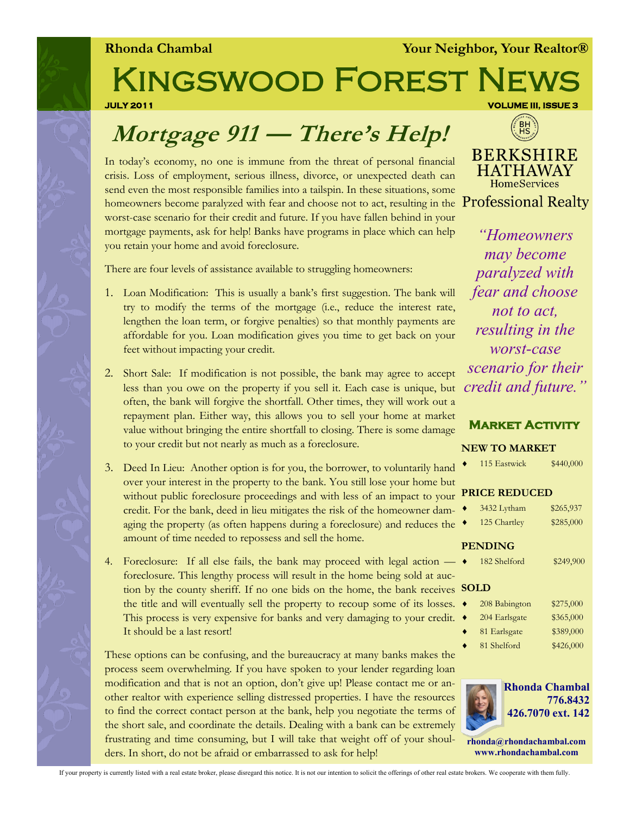**Rhonda Chambal** *Your Neighbor, Your Realtor®* 

# Kingswood Forest News

**JULY 2011 VOLUME III, ISSUE 3** 

### $BH$ **BERKSHIRE**

**HATHAWAY HomeServices** 

In today's economy, no one is immune from the threat of personal financial crisis. Loss of employment, serious illness, divorce, or unexpected death can send even the most responsible families into a tailspin. In these situations, some homeowners become paralyzed with fear and choose not to act, resulting in the Professional Realty worst-case scenario for their credit and future. If you have fallen behind in your mortgage payments, ask for help! Banks have programs in place which can help you retain your home and avoid foreclosure.

**Mortgage 911 — There's Help!**

There are four levels of assistance available to struggling homeowners:

- 1. Loan Modification: This is usually a bank's first suggestion. The bank will try to modify the terms of the mortgage (i.e., reduce the interest rate, lengthen the loan term, or forgive penalties) so that monthly payments are affordable for you. Loan modification gives you time to get back on your feet without impacting your credit.
- 2. Short Sale: If modification is not possible, the bank may agree to accept less than you owe on the property if you sell it. Each case is unique, but often, the bank will forgive the shortfall. Other times, they will work out a repayment plan. Either way, this allows you to sell your home at market value without bringing the entire shortfall to closing. There is some damage to your credit but not nearly as much as a foreclosure.
- 3. Deed In Lieu: Another option is for you, the borrower, to voluntarily hand over your interest in the property to the bank. You still lose your home but without public foreclosure proceedings and with less of an impact to you credit. For the bank, deed in lieu mitigates the risk of the homeowner damaging the property (as often happens during a foreclosure) and reduces the amount of time needed to repossess and sell the home.
- 4. Foreclosure: If all else fails, the bank may proceed with legal action foreclosure. This lengthy process will result in the home being sold at auction by the county sheriff. If no one bids on the home, the bank receive the title and will eventually sell the property to recoup some of its losses. This process is very expensive for banks and very damaging to your credit It should be a last resort!

These options can be confusing, and the bureaucracy at many banks makes the process seem overwhelming. If you have spoken to your lender regarding loan modification and that is not an option, don't give up! Please contact me or another realtor with experience selling distressed properties. I have the resources to find the correct contact person at the bank, help you negotiate the terms of the short sale, and coordinate the details. Dealing with a bank can be extremely frustrating and time consuming, but I will take that weight off of your shoulders. In short, do not be afraid or embarrassed to ask for help!

*"Homeowners may become paralyzed with fear and choose not to act, resulting in the worst-case scenario for their credit and future."*

### **Market Activity**

 $\bullet$  115 Eastwick  $\$440,000$ 

#### **NEW TO MARKET**

| d                         |                      |               |           |  |
|---------------------------|----------------------|---------------|-----------|--|
| ιt                        |                      |               |           |  |
| l.                        | <b>PRICE REDUCED</b> |               |           |  |
| $\overline{a}$            |                      | 3432 Lytham   | \$265,937 |  |
| e                         |                      | 125 Chartley  | \$285,000 |  |
|                           | <b>PENDING</b>       |               |           |  |
|                           |                      | 182 Shelford  | \$249,900 |  |
| Ļ.                        |                      |               |           |  |
| Ś                         | <b>SOLD</b>          |               |           |  |
| $\overline{\mathbf{5}}$ . |                      | 208 Babington | \$275,000 |  |
| t.                        |                      | 204 Earlsgate | \$365,000 |  |
|                           |                      | 81 Earlsgate  | \$389,000 |  |
|                           |                      | 81 Shelford   | \$426,000 |  |
| e                         |                      |               |           |  |



**rhonda@rhondachambal.com www.rhondachambal.com**

If your property is currently listed with a real estate broker, please disregard this notice. It is not our intention to solicit the offerings of other real estate brokers. We cooperate with them fully.